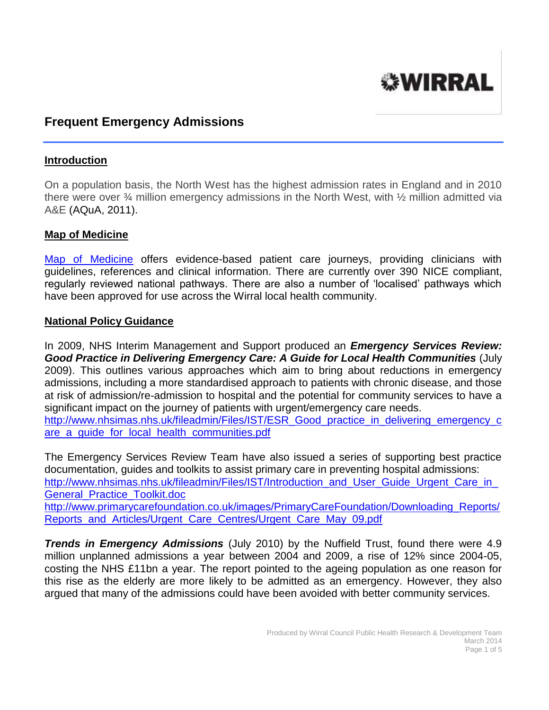

# **Frequent Emergency Admissions**

#### **Introduction**

On a population basis, the North West has the highest admission rates in England and in 2010 there were over ¾ million emergency admissions in the North West, with ½ million admitted via A&E (AQuA, 2011).

#### **Map of Medicine**

[Map of Medicine](http://www.mapofmedicine.com/) offers evidence-based patient care journeys, providing clinicians with guidelines, references and clinical information. There are currently over 390 NICE compliant, regularly reviewed national pathways. There are also a number of 'localised' pathways which have been approved for use across the Wirral local health community.

#### **National Policy Guidance**

In 2009, NHS Interim Management and Support produced an *Emergency Services Review: Good Practice in Delivering Emergency Care: A Guide for Local Health Communities* (July 2009). This outlines various approaches which aim to bring about reductions in emergency admissions, including a more standardised approach to patients with chronic disease, and those at risk of admission/re-admission to hospital and the potential for community services to have a significant impact on the journey of patients with urgent/emergency care needs. [http://www.nhsimas.nhs.uk/fileadmin/Files/IST/ESR\\_Good\\_practice\\_in\\_delivering\\_emergency\\_c](http://www.nhsimas.nhs.uk/fileadmin/Files/IST/ESR_Good_practice_in_delivering_emergency_care_a_guide_for_local_health_communities.pdf) [are\\_a\\_guide\\_for\\_local\\_health\\_communities.pdf](http://www.nhsimas.nhs.uk/fileadmin/Files/IST/ESR_Good_practice_in_delivering_emergency_care_a_guide_for_local_health_communities.pdf)

The Emergency Services Review Team have also issued a series of supporting best practice documentation, guides and toolkits to assist primary care in preventing hospital admissions: [http://www.nhsimas.nhs.uk/fileadmin/Files/IST/Introduction\\_and\\_User\\_Guide\\_Urgent\\_Care\\_in\\_](http://www.nhsimas.nhs.uk/fileadmin/Files/IST/Introduction_and_User_Guide_Urgent_Care_in_General_Practice_Toolkit.doc) [General\\_Practice\\_Toolkit.doc](http://www.nhsimas.nhs.uk/fileadmin/Files/IST/Introduction_and_User_Guide_Urgent_Care_in_General_Practice_Toolkit.doc) [http://www.primarycarefoundation.co.uk/images/PrimaryCareFoundation/Downloading\\_Reports/](http://www.primarycarefoundation.co.uk/images/PrimaryCareFoundation/Downloading_Reports/Reports_and_Articles/Urgent_Care_Centres/Urgent_Care_May_09.pdf) [Reports\\_and\\_Articles/Urgent\\_Care\\_Centres/Urgent\\_Care\\_May\\_09.pdf](http://www.primarycarefoundation.co.uk/images/PrimaryCareFoundation/Downloading_Reports/Reports_and_Articles/Urgent_Care_Centres/Urgent_Care_May_09.pdf)

*Trends in Emergency Admissions* (July 2010) by the Nuffield Trust, found there were 4.9 million unplanned admissions a year between 2004 and 2009, a rise of 12% since 2004-05, costing the NHS £11bn a year. The report pointed to the ageing population as one reason for this rise as the elderly are more likely to be admitted as an emergency. However, they also argued that many of the admissions could have been avoided with better community services.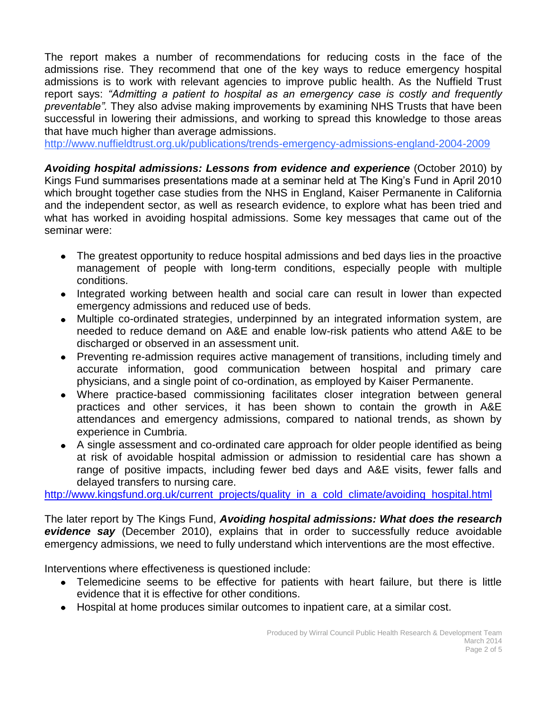The report makes a number of recommendations for reducing costs in the face of the admissions rise. They recommend that one of the key ways to reduce emergency hospital admissions is to work with relevant agencies to improve public health. As the Nuffield Trust report says: *"Admitting a patient to hospital as an emergency case is costly and frequently preventable".* They also advise making improvements by examining NHS Trusts that have been successful in lowering their admissions, and working to spread this knowledge to those areas that have much higher than average admissions.

<http://www.nuffieldtrust.org.uk/publications/trends-emergency-admissions-england-2004-2009>

*Avoiding hospital admissions: Lessons from evidence and experience* (October 2010) by Kings Fund summarises presentations made at a seminar held at The King's Fund in April 2010 which brought together case studies from the NHS in England, Kaiser Permanente in California and the independent sector, as well as research evidence, to explore what has been tried and what has worked in avoiding hospital admissions. Some key messages that came out of the seminar were:

- The greatest opportunity to reduce hospital admissions and bed days lies in the proactive management of people with long-term conditions, especially people with multiple conditions.
- Integrated working between health and social care can result in lower than expected emergency admissions and reduced use of beds.
- Multiple co-ordinated strategies, underpinned by an integrated information system, are needed to reduce demand on A&E and enable low-risk patients who attend A&E to be discharged or observed in an assessment unit.
- Preventing re-admission requires active management of transitions, including timely and accurate information, good communication between hospital and primary care physicians, and a single point of co-ordination, as employed by Kaiser Permanente.
- Where practice-based commissioning facilitates closer integration between general practices and other services, it has been shown to contain the growth in A&E attendances and emergency admissions, compared to national trends, as shown by experience in Cumbria.
- A single assessment and co-ordinated care approach for older people identified as being at risk of avoidable hospital admission or admission to residential care has shown a range of positive impacts, including fewer bed days and A&E visits, fewer falls and delayed transfers to nursing care.

[http://www.kingsfund.org.uk/current\\_projects/quality\\_in\\_a\\_cold\\_climate/avoiding\\_hospital.html](http://www.kingsfund.org.uk/current_projects/quality_in_a_cold_climate/avoiding_hospital.html)

The later report by The Kings Fund, *Avoiding hospital admissions: What does the research evidence say* (December 2010), explains that in order to successfully reduce avoidable emergency admissions, we need to fully understand which interventions are the most effective.

Interventions where effectiveness is questioned include:

- Telemedicine seems to be effective for patients with heart failure, but there is little evidence that it is effective for other conditions.
- Hospital at home produces similar outcomes to inpatient care, at a similar cost.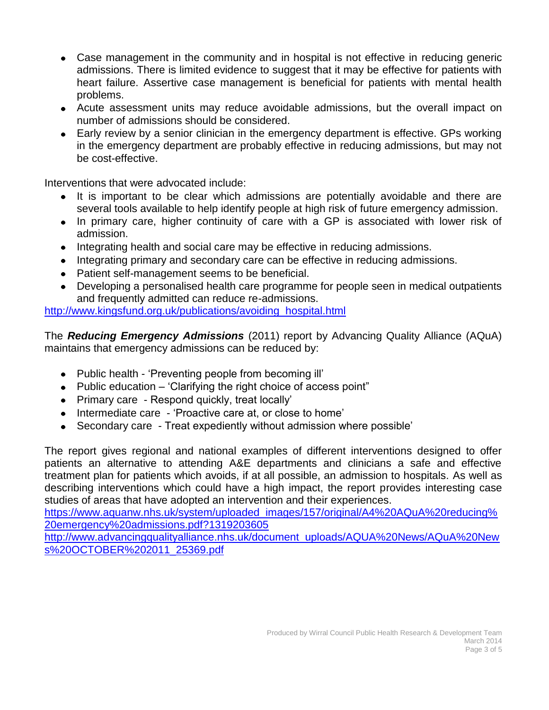- Case management in the community and in hospital is not effective in reducing generic admissions. There is limited evidence to suggest that it may be effective for patients with heart failure. Assertive case management is beneficial for patients with mental health problems.
- Acute assessment units may reduce avoidable admissions, but the overall impact on number of admissions should be considered.
- Early review by a senior clinician in the emergency department is effective. GPs working in the emergency department are probably effective in reducing admissions, but may not be cost-effective.

Interventions that were advocated include:

- It is important to be clear which admissions are potentially avoidable and there are several tools available to help identify people at high risk of future emergency admission.
- In primary care, higher continuity of care with a GP is associated with lower risk of admission.
- Integrating health and social care may be effective in reducing admissions.
- Integrating primary and secondary care can be effective in reducing admissions.
- Patient self-management seems to be beneficial.
- Developing a personalised health care programme for people seen in medical outpatients and frequently admitted can reduce re-admissions.

[http://www.kingsfund.org.uk/publications/avoiding\\_hospital.html](http://www.kingsfund.org.uk/publications/avoiding_hospital.html)

The *Reducing Emergency Admissions* (2011) report by Advancing Quality Alliance (AQuA) maintains that emergency admissions can be reduced by:

- Public health 'Preventing people from becoming ill'
- $\bullet$  Public education 'Clarifying the right choice of access point"
- Primary care Respond quickly, treat locally'
- Intermediate care 'Proactive care at, or close to home'
- Secondary care Treat expediently without admission where possible'

The report gives regional and national examples of different interventions designed to offer patients an alternative to attending A&E departments and clinicians a safe and effective treatment plan for patients which avoids, if at all possible, an admission to hospitals. As well as describing interventions which could have a high impact, the report provides interesting case studies of areas that have adopted an intervention and their experiences.

[https://www.aquanw.nhs.uk/system/uploaded\\_images/157/original/A4%20AQuA%20reducing%](https://www.aquanw.nhs.uk/system/uploaded_images/157/original/A4%20AQuA%20reducing%20emergency%20admissions.pdf?1319203605) [20emergency%20admissions.pdf?1319203605](https://www.aquanw.nhs.uk/system/uploaded_images/157/original/A4%20AQuA%20reducing%20emergency%20admissions.pdf?1319203605)

[http://www.advancingqualityalliance.nhs.uk/document\\_uploads/AQUA%20News/AQuA%20New](http://www.advancingqualityalliance.nhs.uk/document_uploads/AQUA%20News/AQuA%20News%20OCTOBER%202011_25369.pdf) [s%20OCTOBER%202011\\_25369.pdf](http://www.advancingqualityalliance.nhs.uk/document_uploads/AQUA%20News/AQuA%20News%20OCTOBER%202011_25369.pdf)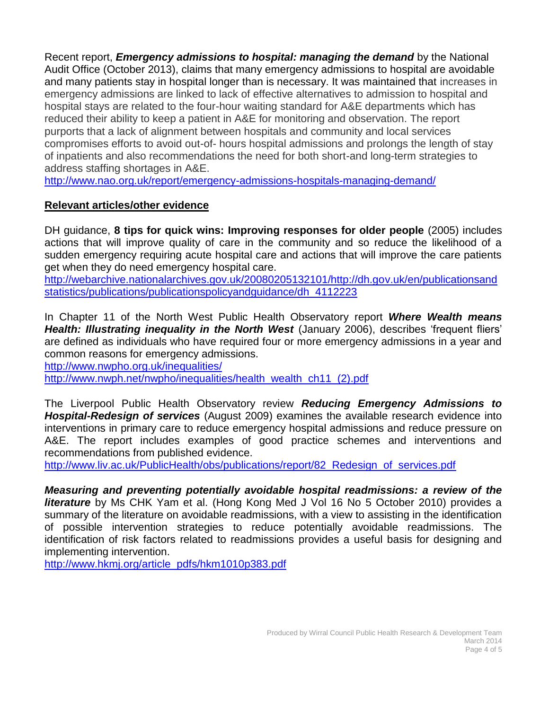Recent report, *Emergency admissions to hospital: managing the demand* by the National Audit Office (October 2013), claims that many emergency admissions to hospital are avoidable and many patients stay in hospital longer than is necessary. It was maintained that increases in emergency admissions are linked to lack of effective alternatives to admission to hospital and hospital stays are related to the four-hour waiting standard for A&E departments which has reduced their ability to keep a patient in A&E for monitoring and observation. The report purports that a lack of alignment between hospitals and community and local services compromises efforts to avoid out-of- hours hospital admissions and prolongs the length of stay of inpatients and also recommendations the need for both short-and long-term strategies to address staffing shortages in A&E.

<http://www.nao.org.uk/report/emergency-admissions-hospitals-managing-demand/>

## **Relevant articles/other evidence**

DH guidance, **8 tips for quick wins: Improving responses for older people** (2005) includes actions that will improve quality of care in the community and so reduce the likelihood of a sudden emergency requiring acute hospital care and actions that will improve the care patients get when they do need emergency hospital care.

[http://webarchive.nationalarchives.gov.uk/20080205132101/http://dh.gov.uk/en/publicationsand](http://webarchive.nationalarchives.gov.uk/20080205132101/http:/dh.gov.uk/en/publicationsandstatistics/publications/publicationspolicyandguidance/dh_4112223) [statistics/publications/publicationspolicyandguidance/dh\\_4112223](http://webarchive.nationalarchives.gov.uk/20080205132101/http:/dh.gov.uk/en/publicationsandstatistics/publications/publicationspolicyandguidance/dh_4112223)

In Chapter 11 of the North West Public Health Observatory report *Where Wealth means Health: Illustrating inequality in the North West* (January 2006), describes 'frequent fliers' are defined as individuals who have required four or more emergency admissions in a year and common reasons for emergency admissions.

<http://www.nwpho.org.uk/inequalities/>

[http://www.nwph.net/nwpho/inequalities/health\\_wealth\\_ch11\\_\(2\).pdf](http://www.nwph.net/nwpho/inequalities/health_wealth_ch11_(2).pdf)

The Liverpool Public Health Observatory review *Reducing Emergency Admissions to Hospital-Redesign of services* (August 2009) examines the available research evidence into interventions in primary care to reduce emergency hospital admissions and reduce pressure on A&E. The report includes examples of good practice schemes and interventions and recommendations from published evidence.

[http://www.liv.ac.uk/PublicHealth/obs/publications/report/82\\_Redesign\\_of\\_services.pdf](http://www.liv.ac.uk/PublicHealth/obs/publications/report/82_Redesign_of_services.pdf)

*Measuring and preventing potentially avoidable hospital readmissions: a review of the literature* by Ms CHK Yam et al. (Hong Kong Med J Vol 16 No 5 October 2010) provides a summary of the literature on avoidable readmissions, with a view to assisting in the identification of possible intervention strategies to reduce potentially avoidable readmissions. The identification of risk factors related to readmissions provides a useful basis for designing and implementing intervention.

[http://www.hkmj.org/article\\_pdfs/hkm1010p383.pdf](http://www.hkmj.org/article_pdfs/hkm1010p383.pdf)